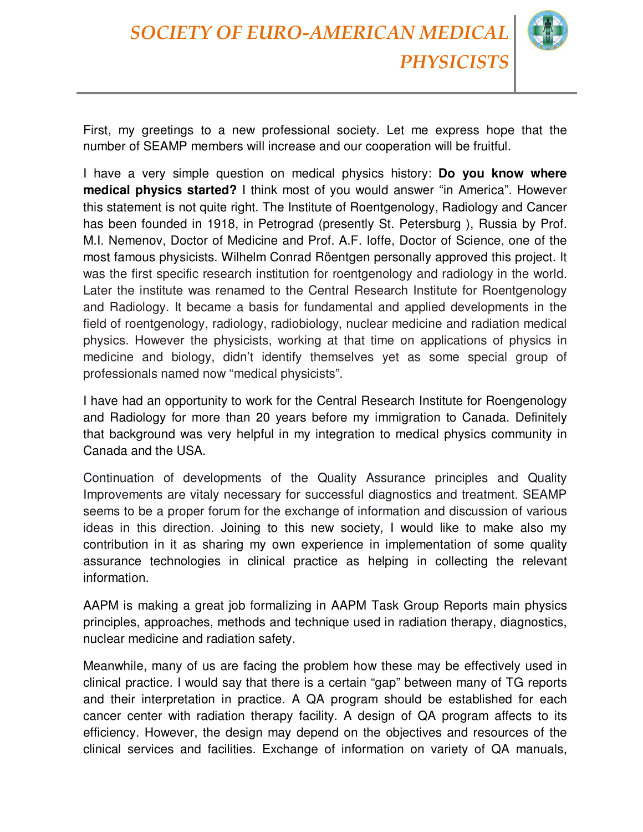

First, my greetings to a new professional society. Let me express hope that the number of SEAMP members will increase and our cooperation will be fruitful.

I have a very simple question on medical physics history: **Do you know where medical physics started?** I think most of you would answer "in America". However this statement is not quite right. The Institute of Roentgenology, Radiology and Cancer has been founded in 1918, in Petrograd (presently St. Petersburg ), Russia by Prof. M.I. Nemenov, Doctor of Medicine and Prof. A.F. Ioffe, Doctor of Science, one of the most famous physicists. Wilhelm Conrad Röentgen personally approved this project. It was the first specific research institution for roentgenology and radiology in the world. Later the institute was renamed to the Central Research Institute for Roentgenology and Radiology. It became a basis for fundamental and applied developments in the field of roentgenology, radiology, radiobiology, nuclear medicine and radiation medical physics. However the physicists, working at that time on applications of physics in medicine and biology, didn't identify themselves yet as some special group of professionals named now "medical physicists".

I have had an opportunity to work for the Central Research Institute for Roengenology and Radiology for more than 20 years before my immigration to Canada. Definitely that background was very helpful in my integration to medical physics community in Canada and the USA.

Continuation of developments of the Quality Assurance principles and Quality Improvements are vitaly necessary for successful diagnostics and treatment. SEAMP seems to be a proper forum for the exchange of information and discussion of various ideas in this direction. Joining to this new society, I would like to make also my contribution in it as sharing my own experience in implementation of some quality assurance technologies in clinical practice as helping in collecting the relevant information.

AAPM is making a great job formalizing in AAPM Task Group Reports main physics principles, approaches, methods and technique used in radiation therapy, diagnostics, nuclear medicine and radiation safety.

Meanwhile, many of us are facing the problem how these may be effectively used in clinical practice. I would say that there is a certain "gap" between many of TG reports and their interpretation in practice. A QA program should be established for each cancer center with radiation therapy facility. A design of QA program affects to its efficiency. However, the design may depend on the objectives and resources of the clinical services and facilities. Exchange of information on variety of QA manuals,